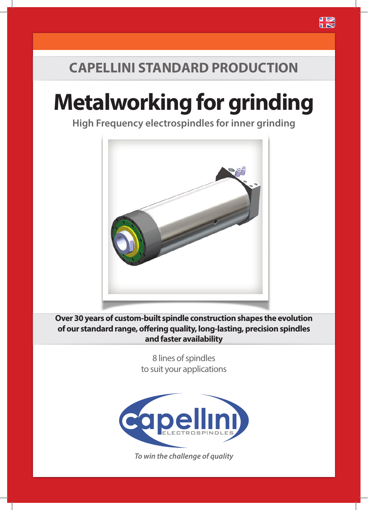## **CAPELLINI STANDARD PRODUCTION**

# **Metalworking for grinding**

**High Frequency electrospindles for inner grinding**



**Over 30 years of custom-built spindle construction shapes the evolution of our standard range, offering quality, long-lasting, precision spindles and faster availability**

> 8 lines of spindles to suit your applications



*To win the challenge of quality*